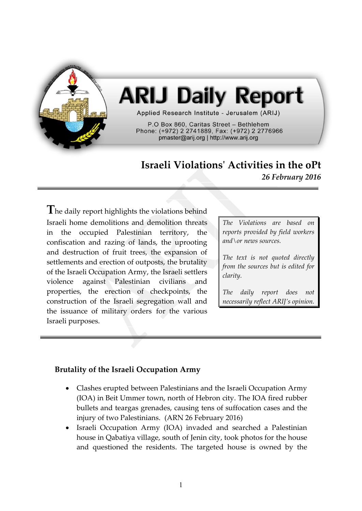

# **ARIJ Daily Report**

Applied Research Institute - Jerusalem (ARIJ)

P.O Box 860, Caritas Street - Bethlehem Phone: (+972) 2 2741889, Fax: (+972) 2 2776966 pmaster@arij.org | http://www.arij.org

# **Israeli Violations' Activities in the oPt** *26 February 2016*

**T**he daily report highlights the violations behind Israeli home demolitions and demolition threats in the occupied Palestinian territory, the confiscation and razing of lands, the uprooting and destruction of fruit trees, the expansion of settlements and erection of outposts, the brutality of the Israeli Occupation Army, the Israeli settlers violence against Palestinian civilians and properties, the erection of checkpoints, the construction of the Israeli segregation wall and the issuance of military orders for the various Israeli purposes.

*The Violations are based on reports provided by field workers and\or news sources.*

*The text is not quoted directly from the sources but is edited for clarity.*

*The daily report does not necessarily reflect ARIJ's opinion.*

# **Brutality of the Israeli Occupation Army**

- Clashes erupted between Palestinians and the Israeli Occupation Army (IOA) in Beit Ummer town, north of Hebron city. The IOA fired rubber bullets and teargas grenades, causing tens of suffocation cases and the injury of two Palestinians. (ARN 26 February 2016)
- Israeli Occupation Army (IOA) invaded and searched a Palestinian house in Qabatiya village, south of Jenin city, took photos for the house and questioned the residents. The targeted house is owned by the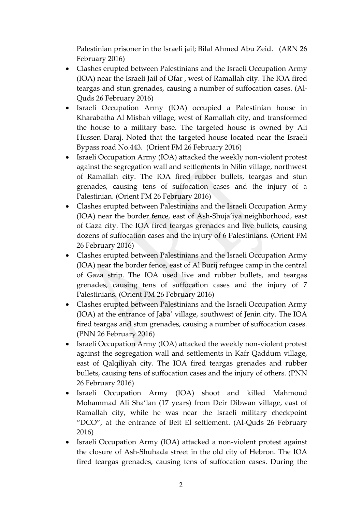Palestinian prisoner in the Israeli jail; Bilal Ahmed Abu Zeid. (ARN 26 February 2016)

- Clashes erupted between Palestinians and the Israeli Occupation Army (IOA) near the Israeli Jail of Ofar , west of Ramallah city. The IOA fired teargas and stun grenades, causing a number of suffocation cases. (Al-Quds 26 February 2016)
- Israeli Occupation Army (IOA) occupied a Palestinian house in Kharabatha Al Misbah village, west of Ramallah city, and transformed the house to a military base. The targeted house is owned by Ali Hussen Daraj. Noted that the targeted house located near the Israeli Bypass road No.443. (Orient FM 26 February 2016)
- Israeli Occupation Army (IOA) attacked the weekly non-violent protest against the segregation wall and settlements in Nilin village, northwest of Ramallah city. The IOA fired rubber bullets, teargas and stun grenades, causing tens of suffocation cases and the injury of a Palestinian. (Orient FM 26 February 2016)
- Clashes erupted between Palestinians and the Israeli Occupation Army (IOA) near the border fence, east of Ash-Shuja'iya neighborhood, east of Gaza city. The IOA fired teargas grenades and live bullets, causing dozens of suffocation cases and the injury of 6 Palestinians. (Orient FM 26 February 2016)
- Clashes erupted between Palestinians and the Israeli Occupation Army (IOA) near the border fence, east of Al Burij refugee camp in the central of Gaza strip. The IOA used live and rubber bullets, and teargas grenades, causing tens of suffocation cases and the injury of 7 Palestinians. (Orient FM 26 February 2016)
- Clashes erupted between Palestinians and the Israeli Occupation Army (IOA) at the entrance of Jaba' village, southwest of Jenin city. The IOA fired teargas and stun grenades, causing a number of suffocation cases. (PNN 26 February 2016)
- Israeli Occupation Army (IOA) attacked the weekly non-violent protest against the segregation wall and settlements in Kafr Qaddum village, east of Qalqiliyah city. The IOA fired teargas grenades and rubber bullets, causing tens of suffocation cases and the injury of others. (PNN 26 February 2016)
- Israeli Occupation Army (IOA) shoot and killed Mahmoud Mohammad Ali Sha'lan (17 years) from Deir Dibwan village, east of Ramallah city, while he was near the Israeli military checkpoint "DCO", at the entrance of Beit El settlement. (Al-Quds 26 February 2016)
- Israeli Occupation Army (IOA) attacked a non-violent protest against the closure of Ash-Shuhada street in the old city of Hebron. The IOA fired teargas grenades, causing tens of suffocation cases. During the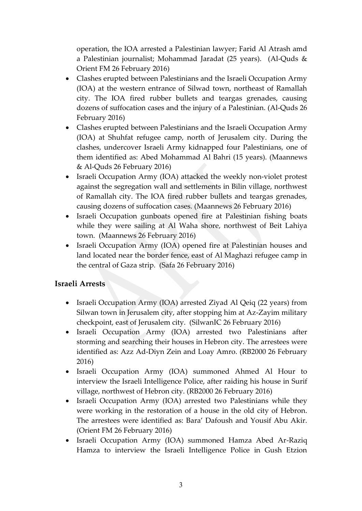operation, the IOA arrested a Palestinian lawyer; Farid Al Atrash amd a Palestinian journalist; Mohammad Jaradat (25 years). (Al-Quds & Orient FM 26 February 2016)

- Clashes erupted between Palestinians and the Israeli Occupation Army (IOA) at the western entrance of Silwad town, northeast of Ramallah city. The IOA fired rubber bullets and teargas grenades, causing dozens of suffocation cases and the injury of a Palestinian. (Al-Quds 26 February 2016)
- Clashes erupted between Palestinians and the Israeli Occupation Army (IOA) at Shuhfat refugee camp, north of Jerusalem city. During the clashes, undercover Israeli Army kidnapped four Palestinians, one of them identified as: Abed Mohammad Al Bahri (15 years). (Maannews & Al-Quds 26 February 2016)
- Israeli Occupation Army (IOA) attacked the weekly non-violet protest against the segregation wall and settlements in Bilin village, northwest of Ramallah city. The IOA fired rubber bullets and teargas grenades, causing dozens of suffocation cases. (Maannews 26 February 2016)
- Israeli Occupation gunboats opened fire at Palestinian fishing boats while they were sailing at Al Waha shore, northwest of Beit Lahiya town. (Maannews 26 February 2016)
- Israeli Occupation Army (IOA) opened fire at Palestinian houses and land located near the border fence, east of Al Maghazi refugee camp in the central of Gaza strip. (Safa 26 February 2016)

#### **Israeli Arrests**

- Israeli Occupation Army (IOA) arrested Ziyad Al Qeiq (22 years) from Silwan town in Jerusalem city, after stopping him at Az-Zayim military checkpoint, east of Jerusalem city. (SilwanIC 26 February 2016)
- Israeli Occupation Army (IOA) arrested two Palestinians after storming and searching their houses in Hebron city. The arrestees were identified as: Azz Ad-Diyn Zein and Loay Amro. (RB2000 26 February 2016)
- Israeli Occupation Army (IOA) summoned Ahmed Al Hour to interview the Israeli Intelligence Police, after raiding his house in Surif village, northwest of Hebron city. (RB2000 26 February 2016)
- Israeli Occupation Army (IOA) arrested two Palestinians while they were working in the restoration of a house in the old city of Hebron. The arrestees were identified as: Bara' Dafoush and Yousif Abu Akir. (Orient FM 26 February 2016)
- Israeli Occupation Army (IOA) summoned Hamza Abed Ar-Raziq Hamza to interview the Israeli Intelligence Police in Gush Etzion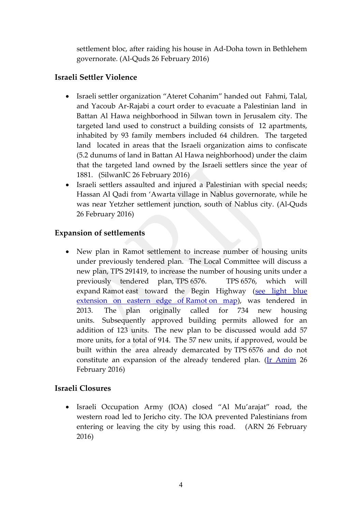settlement bloc, after raiding his house in Ad-Doha town in Bethlehem governorate. (Al-Quds 26 February 2016)

#### **Israeli Settler Violence**

- Israeli settler organization "Ateret Cohanim" handed out Fahmi, Talal, and Yacoub Ar-Rajabi a court order to evacuate a Palestinian land in Battan Al Hawa neighborhood in Silwan town in Jerusalem city. The targeted land used to construct a building consists of 12 apartments, inhabited by 93 family members included 64 children. The targeted land located in areas that the Israeli organization aims to confiscate (5.2 dunums of land in Battan Al Hawa neighborhood) under the claim that the targeted land owned by the Israeli settlers since the year of 1881. (SilwanIC 26 February 2016)
- Israeli settlers assaulted and injured a Palestinian with special needs; Hassan Al Qadi from 'Awarta village in Nablus governorate, while he was near Yetzher settlement junction, south of Nablus city. (Al-Quds 26 February 2016)

# **Expansion of settlements**

 New plan in Ramot settlement to increase number of housing units under previously tendered plan. The Local Committee will discuss a new plan, TPS 291419, to increase the number of housing units under a previously tendered plan, TPS 6576. TPS 6576, which will expand Ramot east toward the Begin Highway (see light blue [extension on eastern edge of](http://www.altro.co.il/uploads/252/File/Greater%20Jerusalem%20Eng%202015.jpg) Ramot on map), was tendered in 2013. The plan originally called for 734 new housing units. Subsequently approved building permits allowed for an addition of 123 units. The new plan to be discussed would add 57 more units, for a total of 914. The 57 new units, if approved, would be built within the area already demarcated by TPS 6576 and do not constitute an expansion of the already tendered plan. [\(Ir Amim](http://www.altro.co.il/newsletters/show/8633?key=eed4e81c9439caa0caa323b11078d9e9&value=9a3cdcd0e38da468aea5b504ce87c7a2d1ce4fef:1260978) 26 February 2016)

# **Israeli Closures**

 Israeli Occupation Army (IOA) closed "Al Mu'arajat" road, the western road led to Jericho city. The IOA prevented Palestinians from entering or leaving the city by using this road. (ARN 26 February 2016)